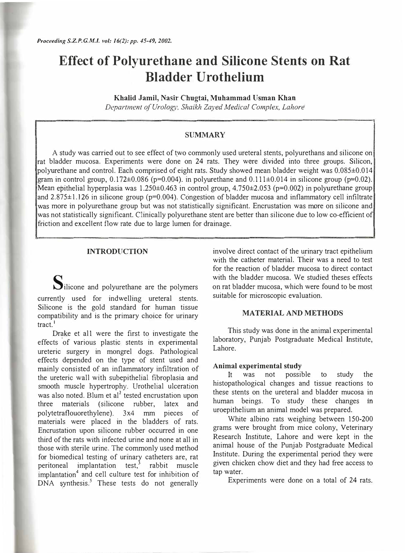# **Effect of Polyurethane and Silicone Stents on Rat Bladder Urothelium**

**Khalid Jamil, Nasir Chugtai, Muhammad Usman Khan**  *Department of Urolog<sup>y</sup> . Shaikh Zayed Medical Complex, Lahore* 

## **SUMMARY**

A study was carried out to see effect of two commonly used ureteral stents, polyurethans and silicone on rat bladder mucosa. Experiments were done on 24 rats. They were divided into three groups. Silicon, polyurethane and control. Each comprised of eight rats. Study showed mean bladder weight was 0.085±0.014 gram in control group,  $0.172\pm0.086$  (p=0.004). in polyurethane and  $0.111\pm0.014$  in silicone group (p=0.02). Mean epithelial hyperplasia was  $1.250\pm0.463$  in control group,  $4.750\pm2.053$  (p=0.002) in polyurethane group and  $2.875\pm1.126$  in silicone group ( $p=0.004$ ). Congestion of bladder mucosa and inflammatory cell infiltrate was more in polyurethane group but was not statistically significant. Encrustation was more on silicone and was not statistically significant. Clinically polyurethane stent are better than silicone due to low co-efficient of friction and excellent flow rate due to large lumen for drainage.

## **INTRODUCTION**

Silicone and polyurethane are the polymers currently used for indwelling ureteral stents. Silicone is the gold standard for human tissue compatibility and is the primary choice for urinary tract.<sup>1</sup>

Drake et all were the first to investigate the effects of various plastic stents in experimental ureteric surgery in mongrel dogs. Pathological effects depended on the type of stent used and mainly consisted of an inflammatory infiltration of the ureteric wall with subepithelial fibroplasia and smooth muscle hypertrophy. Urothelial ulceration was also noted. Blum et al<sup>2</sup> tested encrustation upon three materials (silicone rubber, latex and polytetraflouorethylene). 3x4 mm pieces of materials were placed in the bladders of rats. Encrustation upon silicone rubber occurred in one third of the rats with infected urine and none at all in those with sterile urine. The commonly used method for biomedical testing of urinary catheters are, rat peritoneal implantation test, $3$  rabbit muscle implantation**<sup>4</sup>**and cell culture test for inhibition of DNA synthesis.<sup>5</sup> These tests do not generally

involve direct contact of the urinary tract epithelium with the catheter material. Their was a need to test for the reaction of bladder mucosa to direct contact with the bladder mucosa. We studied theses effects on rat bladder mucosa, which were found to be most suitable for microscopic evaluation.

### **MATERIAL AND METHODS**

This study was done in the animal experimental laboratory, Punjab Postgraduate Medical Institute, Lahore.

#### **Animal experimental study**

It was not possible to study the histopathological changes and tissue reactions to these stents on the ureteral and bladder mucosa in human beings. To study these changes in uroepithelium an animal model was prepared.

White albino rats weighing between 150-200 grams were brought from mice colony, Veterinary Research Institute, Lahore and were kept in the animal house of the Punjab Postgraduate Medical Institute. During the experimental period they were given chicken chow diet and they had free access to tap water.

Experiments were done on a total of 24 rats.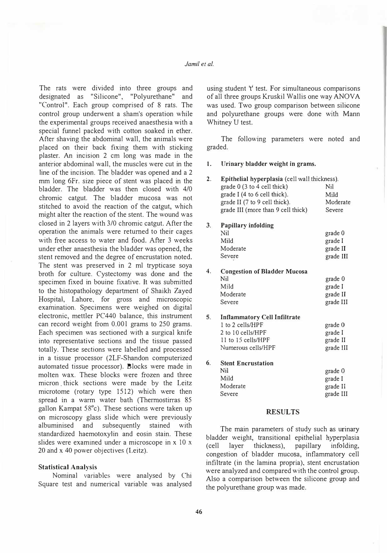## *Jamil et al.*

The rats were divided into three groups and designated as "Silicone", "Polyurethane" and "Control". Each group comprised of 8 rats. The control group underwent a sham's operation while the experimental groups received anaesthesia with a special funnel packed with cotton soaked in ether. After shaving the abdominal wall, the animals were placed on their back fixing them with sticking plaster. An incision 2 cm long was made in the anterior abdominal wall, the muscles were cut in the line of the incision. The bladder was opened and a 2 mm long 6Fr. size piece of stent was placed in the bladder. The bladder was then closed with 4/0 chromic catgut. The bladder mucosa was not stitched to avoid the reaction of the catgut, which might alter the reaction of the stent. The wound was closed in 2 layers with 3/0 chromic catgut. After the operation the animals were returned to their cages with free access to water and food. After 3 weeks under ether anaesthesia the bladder was opened, .the stent removed and the degree of encrustation noted. The stent was preserved in 2 ml trypticase soya broth for culture. Cystectomy was done and the specimen fixed in bouine fixative. It was submitted to the histopathology department of Shaikh Zayed Hospital, Lahore, for gross and microscopic examination. Specimens were weighed on digital electronic, mettler PC440 balance, this instrument can record weight from 0.001 grams to 250 grams. Each specimen was sectioned with a surgical knife into representative sections and the tissue passed totally. These sections were labelled and processed in a tissue processor (2LF-Shandon computerized automated tissue processor). Blocks were made in molten wax. These blocks were frozen and three micron. thick sections were made by the Leitz microtome (rotary type 1512) which were then spread in a warm water bath (Thermostirras 85 gallon Kampat 58° c). These sections were taken up on microscopy glass slide which were previously albuminised and subsequently stained with standardized haemotoxylin and eosin stain. These slides were examined under a microscope in x 10 x 20 and x 40 power objectives (Leitz).

#### **Statistical Analysis**

Nominal variables were analysed by Chi Square test and numerical variable was analysed

using student 't' test. For simultaneous comparisons of all three groups Kruskil Wallis one way ANOVA was used. Two group comparison between silicone and polyurethane groups were done with Mann Whitney U test.

The following parameters were noted and graded.

I. Urinary bladder weight in grams.

| 2. | Epithelial hyperplasia (cell wall thickness).<br>grade 0 (3 to 4 cell thick)<br>grade I (4 to 6 cell thick).<br>grade II (7 to 9 cell thick).<br>grade III (more than 9 cell thick) | Nil<br>Mild<br>Moderate<br>Severe           |
|----|-------------------------------------------------------------------------------------------------------------------------------------------------------------------------------------|---------------------------------------------|
| 3. | <b>Papillary infolding</b><br>Nil<br>Mild<br>Moderate<br>Severe                                                                                                                     | grade 0<br>grade I<br>grade II<br>grade III |
| 4. | <b>Congestion of Bladder Mucosa</b><br>Nil<br>Mild<br>Moderate<br>Severe                                                                                                            | grade 0<br>grade I<br>grade II<br>grade III |
| 5. | <b>Inflammatory Cell Infiltrate</b><br>1 to 2 cells/HPF<br>2 to 10 cells/HPF<br>11 to 15 cells/HPF<br>Numerous cells/HPF                                                            | grade 0<br>grade I<br>grade II<br>grade III |
| 6. | <b>Stent Encrustation</b><br>Nil<br>Mild<br>Moderate<br>Severe                                                                                                                      | grade 0<br>grade I<br>grade II<br>grade III |

## **RESULTS**

The main parameters of study such as urinary bladder weight, transitional epithelial hyperplasia ( cell layer thickness), papillary infolding, congestion of bladder mucosa, inflammatory cell infiltrate (in the lamina propria), stent encrustation were analyzed and compared with the control group. Also a comparison between the silicone group and the polyurethane group was made.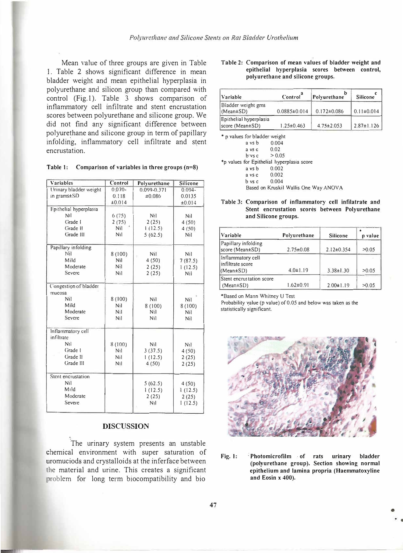Mean value of three groups are given in Table 1. Table 2 shows significant difference in mean bladder weight and mean epithelial hyperplasia in polyurethane and silicon group than compared with control (Fig. I). Table 3 shows comparison of inflammatory cell infiltrate and stent encrustation scores between polyurethane and silicone group. We did not find any significant difference between polyurethane and silicone group in term of papillary infolding, inflammatory cell infiltrate and s�ent encrustation.

|  | Table 1: Comparison of variables in three groups $(n=8)$ |  |  |  |  |  |  |  |
|--|----------------------------------------------------------|--|--|--|--|--|--|--|
|--|----------------------------------------------------------|--|--|--|--|--|--|--|

| Variables              | Control        | Polyurethane    | Silicone         |
|------------------------|----------------|-----------------|------------------|
| Urinary bladder weight | $0.070 -$      | $0.099 - 0.371$ | $0.094 -$        |
| in grams±SD            | 0.118          | ±0.086          | 0.0135           |
|                        | ±0.014         |                 | ±0.014           |
| Epithelial hyperplasia |                |                 |                  |
| Nil                    | 6(75)          | Nil             | Nil              |
| Grade I                | 2(75)          | 2(25)           | 4(50)            |
| Grade II               | Nil            | 1(12.5)         | 4(50)            |
| Grade III              | Nil            | 5(62.5)         | Nil              |
| Papillary infolding    |                |                 |                  |
| Nil                    | 8(100)         | Nil             | Nil              |
| Mild                   | Nil            | 4(50)           | 7(87.5)          |
| Moderate               | Nil            | 2(25)           | 1(12.5)          |
| Severe                 | Nil            | 2(25)           | N <sub>i</sub> j |
| Congestion of bladder  |                |                 |                  |
| mucosa                 |                |                 |                  |
| Nil                    | 8(100)         | Nil             | Nil              |
| Mild                   | Nil            | 8(100)          | 8(100)           |
| Moderate               | Nil            | <b>Nil</b>      | Nil              |
| Severe                 | N <sub>1</sub> | Nil             | Nil              |
| Inflammatory cell      |                |                 |                  |
| infiltrate             |                |                 |                  |
| Nil                    | 8(100)         | Nil             | N <sub>1</sub>   |
| Grade I                | N <sub>1</sub> | 3(37.5)         | 4(50)            |
| Grade II               | Nil            | 1(12.5)         | 2(25)            |
| Grade III              | N1             | 4(50)           | 2(25)            |
| Stent encrustation     |                |                 |                  |
| Nil                    |                | 5(62.5)         | 4(50)            |
| Mild                   |                | 1(12.5)         | 1(12.5)          |
| Moderate               |                | 2(25)           | 2(25)            |
| Severe                 |                | N <sub>1</sub>  | 1(12.5)          |
|                        |                |                 |                  |

## **DISCUSSION**

The urinary system presents an unstable chemical environment with super saturation of uromuciods and crystalloids at the inferface between the material and urine. This creates a significant problem for long term biocompatibility and bio

#### **Table 2: Comparison of mean values of bladder weight and epithelial hyperplasia scores between control, polyurethane and silicone groups.**

| Variable                                        | Control <sup>a</sup> | Polvurethane      | <b>Silicone</b>  |
|-------------------------------------------------|----------------------|-------------------|------------------|
| Bladder weight gms<br>$(Mean \pm SD)$           | $0.0885\pm0.014$     | $0.172 \pm 0.086$ | $0.11 \pm 0.014$ |
| Epithelial hyperplasia<br>score (Mean $\pm$ SD) | $1.25 \pm 0.463$     | $4.75 \pm 2.053$  | $2.87 \pm 1.126$ |

| * p values for bladder weight              |                         |                                       |
|--------------------------------------------|-------------------------|---------------------------------------|
| a vs b                                     | 0.004                   |                                       |
|                                            | a vs c $0.02$           |                                       |
|                                            | $b$ vs c > 0.05         |                                       |
| *p values for Epithelial hyperplasia score |                         |                                       |
| a vs b                                     | 0.002                   |                                       |
|                                            | a vs c 0.002            |                                       |
|                                            | $b \text{ vs } c$ 0.004 |                                       |
|                                            |                         | Based on Kruskil Wallis One Way ANOVA |

#### **Table 3: Comparison of inflammatory cell infilatrate and Stent encrustation scores between Polyurethane and Silicone groups.**

| <b>Variable</b>                             | Polyurethane    | <b>Silicone</b>  | ۰<br>p value |
|---------------------------------------------|-----------------|------------------|--------------|
| Papillary infolding<br>score (Mean±SD)      | $2.75 \pm 0.08$ | $2.12 \pm 0.354$ | >0.05        |
| Inflammatory cell<br>infiltrate score       |                 |                  |              |
| $(Mean \pm SD)$                             | $4.0 \pm 1.19$  | $3.38 \pm 1.30$  | >0.05        |
| Stent encrustation score<br>$(Mean \pm SD)$ | $1.62 \pm 0.91$ | $2.00 \pm 1.19$  | >0.05        |

\*Based on Mann Whitney U Test

Probability value (p value) of 0.05 and below was taken as the statistically significant.



**Fig. I: : Photomicrofilm · of rats urinary bladder (polyurethane group). Section showing normal epithelium and lamina propria (Haemmatoxyline and Eosin x 400).** 

•

•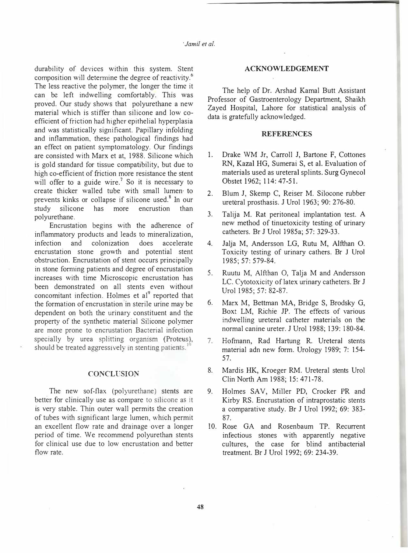durability of devices within this system. Stent composition will determine the degree of reactivity.<sup>6</sup> The less reactive the polymer, the longer the time it can be left indwelling comfortably. This was proved. Our study shows that polyurethane a new material which is stiffer than silicone and low coefficient of friction had higher epithelial hyperplasia and was statistically significant. Papillary infolding and inflammation, these pathological findings had an effect on patient symptomatology. Our findings are consisted with Marx et at, 1988. Silicone which is gold standard for tissue compatibility, but due to high co-efficient of friction more resistance the stent will offer to a guide wire.<sup>7</sup> So it is necessary to create thicker walled tube with small lumen· to prevents kinks or collapse if silicone used.<sup>8</sup> In our study silicone has more encrustion than polyurethane.

Encrustation begins with the adherence of inflammatory products and leads to mineralization, infection and colonization does accelerate encrustation stone growth and potential stent obstruction. Encrustation of stent occurs principally in stone forming patients and degree of encrustation increases with time Microscopic encrustation has been demonstrated on all stents even without concomitant infection. Holmes et al<sup>9</sup> reported that the formation of encrustation in sterile urine may be dependent on both the urinary constituent and the property of the synthetic material Silicone polymer are more prone to encrustation Bacterial infection specially by urea splitting orgamsm (Proteus). should be treated aggressively in stenting patients.<sup>10</sup>

#### CONCLUSION

The new sof-flax (polyurethane) stents are better for clinically use as compare to silicone as it is very stable. Thin outer wall permits the creation of tubes with significant large lumen, which permit an excellent flow rate and drainage over a longer period of time. We recommend polyurethan stents for clinical use due to low encrustation and better flow rate.

#### **ACKNOWLEDGEMENT**

The help of Dr. Arshad Kamal Butt Assistant Professor of Gastroenterology Department, Shaikh Zayed Hospital, Lahore for statistical analysis of data is gratefully acknowledged.

#### **REFERENCES**

- 1. Drake WM Jr, Carroll J, Bartone F, Cottones RN, Kaza! HG, Sumerai S, et al. Evaluation of materials used as ureteral splints. Surg Gynecol Obstet 1962; 114: 47-51.
- 2. Blum J, Skemp C, Reiser M. Silocone rubber ureteral prosthasis. J Urol 1963; 90: 276-80.
- 3. Talija M. Rat peritoneal implantation test. A new method of tinuetoxicity testing of urinary catheters. Br J Urol 1985a; 57: 329-33.
- 4. Jalja M, Andersson LG, Rutu M, Alfthan 0. Toxicity testing of urinary cathers. Br J Urol 1985; 57: 579-84.
- 5. Ruutu M, Alfthan 0, Talja M and Andersson LC. Cytotoxicity of latex urinary catheters. Br J Urol 1985; 57: 82-87.
- 6. Marx M, Bettman MA, Bridge S, Brodsky G, Boxt LM, Richie JP. The effects of various indwelling ureteral catheter materials on the normal canine ureter. J Urol 1988; 139: I 80-84.
- 7. Hofmann, Rad Hartung R. Ureteral stents material adn new form. Urology 1989; 7: 154- 57.
- 8. Mardis HK, Kroeger RM. Ureteral stents Urol Clin North Am 1988; 15: 471-78.
- 9. Holmes SAY, Miller PD, Crocker PR and Kirby RS. Encrustation of intraprostatic stents a comparative study. Br J Urol 1992; 69: 383- 87.
- 10. Rose GA and Rosenbaum TP. Recurrent infectious stones with apparently negative cultures, the case for blind antibacterial treatment. Br J Urol 1992; 69: 234-39.